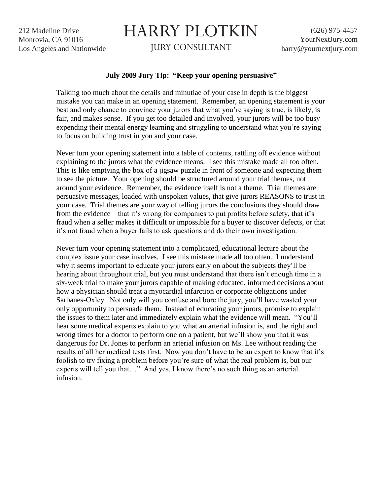212 Madeline Drive Monrovia, CA 91016 Los Angeles and Nationwide

## HARRY PLOTKIN

JURY CONSULTANT

## **July 2009 Jury Tip: "Keep your opening persuasive"**

Talking too much about the details and minutiae of your case in depth is the biggest mistake you can make in an opening statement. Remember, an opening statement is your best and only chance to convince your jurors that what you're saying is true, is likely, is fair, and makes sense. If you get too detailed and involved, your jurors will be too busy expending their mental energy learning and struggling to understand what you're saying to focus on building trust in you and your case.

Never turn your opening statement into a table of contents, rattling off evidence without explaining to the jurors what the evidence means. I see this mistake made all too often. This is like emptying the box of a jigsaw puzzle in front of someone and expecting them to see the picture. Your opening should be structured around your trial themes, not around your evidence. Remember, the evidence itself is not a theme. Trial themes are persuasive messages, loaded with unspoken values, that give jurors REASONS to trust in your case. Trial themes are your way of telling jurors the conclusions they should draw from the evidence—that it's wrong for companies to put profits before safety, that it's fraud when a seller makes it difficult or impossible for a buyer to discover defects, or that it's not fraud when a buyer fails to ask questions and do their own investigation.

Never turn your opening statement into a complicated, educational lecture about the complex issue your case involves. I see this mistake made all too often. I understand why it seems important to educate your jurors early on about the subjects they'll be hearing about throughout trial, but you must understand that there isn't enough time in a six-week trial to make your jurors capable of making educated, informed decisions about how a physician should treat a myocardial infarction or corporate obligations under Sarbanes-Oxley. Not only will you confuse and bore the jury, you'll have wasted your only opportunity to persuade them. Instead of educating your jurors, promise to explain the issues to them later and immediately explain what the evidence will mean. "You'll hear some medical experts explain to you what an arterial infusion is, and the right and wrong times for a doctor to perform one on a patient, but we'll show you that it was dangerous for Dr. Jones to perform an arterial infusion on Ms. Lee without reading the results of all her medical tests first. Now you don't have to be an expert to know that it's foolish to try fixing a problem before you're sure of what the real problem is, but our experts will tell you that…" And yes, I know there's no such thing as an arterial infusion.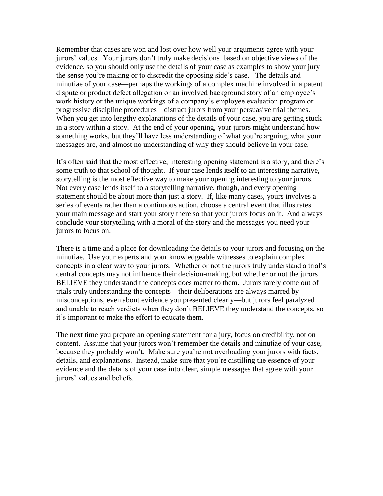Remember that cases are won and lost over how well your arguments agree with your jurors' values. Your jurors don't truly make decisions based on objective views of the evidence, so you should only use the details of your case as examples to show your jury the sense you're making or to discredit the opposing side's case. The details and minutiae of your case—perhaps the workings of a complex machine involved in a patent dispute or product defect allegation or an involved background story of an employee's work history or the unique workings of a company's employee evaluation program or progressive discipline procedures—distract jurors from your persuasive trial themes. When you get into lengthy explanations of the details of your case, you are getting stuck in a story within a story. At the end of your opening, your jurors might understand how something works, but they'll have less understanding of what you're arguing, what your messages are, and almost no understanding of why they should believe in your case.

It's often said that the most effective, interesting opening statement is a story, and there's some truth to that school of thought. If your case lends itself to an interesting narrative, storytelling is the most effective way to make your opening interesting to your jurors. Not every case lends itself to a storytelling narrative, though, and every opening statement should be about more than just a story. If, like many cases, yours involves a series of events rather than a continuous action, choose a central event that illustrates your main message and start your story there so that your jurors focus on it. And always conclude your storytelling with a moral of the story and the messages you need your jurors to focus on.

There is a time and a place for downloading the details to your jurors and focusing on the minutiae. Use your experts and your knowledgeable witnesses to explain complex concepts in a clear way to your jurors. Whether or not the jurors truly understand a trial's central concepts may not influence their decision-making, but whether or not the jurors BELIEVE they understand the concepts does matter to them. Jurors rarely come out of trials truly understanding the concepts—their deliberations are always marred by misconceptions, even about evidence you presented clearly—but jurors feel paralyzed and unable to reach verdicts when they don't BELIEVE they understand the concepts, so it's important to make the effort to educate them.

The next time you prepare an opening statement for a jury, focus on credibility, not on content. Assume that your jurors won't remember the details and minutiae of your case, because they probably won't. Make sure you're not overloading your jurors with facts, details, and explanations. Instead, make sure that you're distilling the essence of your evidence and the details of your case into clear, simple messages that agree with your jurors' values and beliefs.